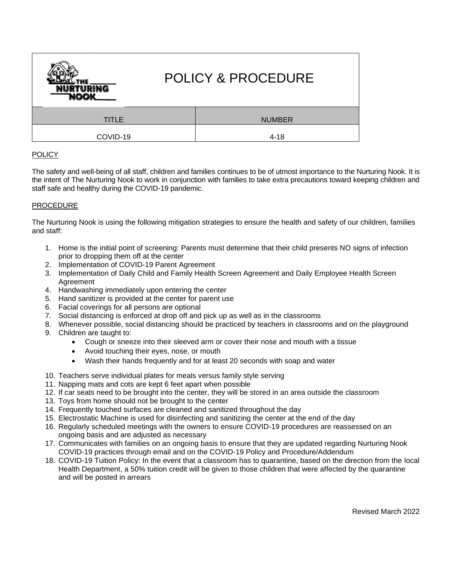| <b>NURTURING</b><br><b>NOOK</b> | <b>POLICY &amp; PROCEDURE</b> |
|---------------------------------|-------------------------------|
| <b>TITLE</b>                    | <b>NUMBER</b>                 |
| COVID-19                        | 4-18                          |

### **POLICY**

The safety and well-being of all staff, children and families continues to be of utmost importance to the Nurturing Nook. It is the intent of The Nurturing Nook to work in conjunction with families to take extra precautions toward keeping children and staff safe and healthy during the COVID-19 pandemic.

### PROCEDURE

The Nurturing Nook is using the following mitigation strategies to ensure the health and safety of our children, families and staff:

- 1. Home is the initial point of screening: Parents must determine that their child presents NO signs of infection prior to dropping them off at the center
- 2. Implementation of COVID-19 Parent Agreement
- 3. Implementation of Daily Child and Family Health Screen Agreement and Daily Employee Health Screen **Agreement**
- 4. Handwashing immediately upon entering the center
- 5. Hand sanitizer is provided at the center for parent use
- 6. Facial coverings for all persons are optional
- 7. Social distancing is enforced at drop off and pick up as well as in the classrooms
- 8. Whenever possible, social distancing should be practiced by teachers in classrooms and on the playground
- 9. Children are taught to:
	- Cough or sneeze into their sleeved arm or cover their nose and mouth with a tissue
	- Avoid touching their eyes, nose, or mouth
	- Wash their hands frequently and for at least 20 seconds with soap and water
- 10. Teachers serve individual plates for meals versus family style serving
- 11. Napping mats and cots are kept 6 feet apart when possible
- 12. If car seats need to be brought into the center, they will be stored in an area outside the classroom
- 13. Toys from home should not be brought to the center
- 14. Frequently touched surfaces are cleaned and sanitized throughout the day
- 15. Electrostatic Machine is used for disinfecting and sanitizing the center at the end of the day
- 16. Regularly scheduled meetings with the owners to ensure COVID-19 procedures are reassessed on an ongoing basis and are adjusted as necessary
- 17. Communicates with families on an ongoing basis to ensure that they are updated regarding Nurturing Nook COVID-19 practices through email and on the COVID-19 Policy and Procedure/Addendum
- 18. COVID-19 Tuition Policy: In the event that a classroom has to quarantine, based on the direction from the local Health Department, a 50% tuition credit will be given to those children that were affected by the quarantine and will be posted in arrears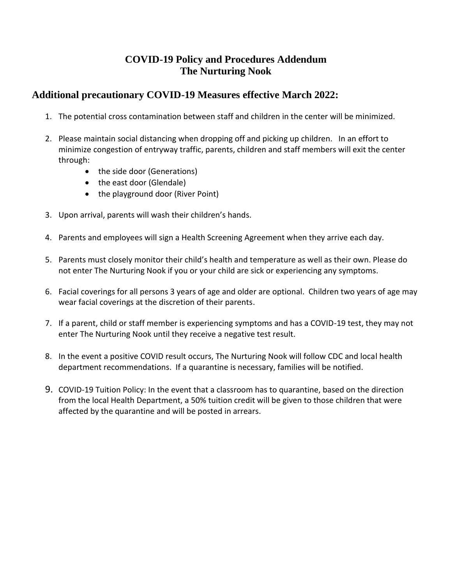### **COVID-19 Policy and Procedures Addendum The Nurturing Nook**

## **Additional precautionary COVID-19 Measures effective March 2022:**

- 1. The potential cross contamination between staff and children in the center will be minimized.
- 2. Please maintain social distancing when dropping off and picking up children. In an effort to minimize congestion of entryway traffic, parents, children and staff members will exit the center through:
	- the side door (Generations)
	- the east door (Glendale)
	- the playground door (River Point)
- 3. Upon arrival, parents will wash their children's hands.
- 4. Parents and employees will sign a Health Screening Agreement when they arrive each day.
- 5. Parents must closely monitor their child's health and temperature as well as their own. Please do not enter The Nurturing Nook if you or your child are sick or experiencing any symptoms.
- 6. Facial coverings for all persons 3 years of age and older are optional. Children two years of age may wear facial coverings at the discretion of their parents.
- 7. If a parent, child or staff member is experiencing symptoms and has a COVID-19 test, they may not enter The Nurturing Nook until they receive a negative test result.
- 8. In the event a positive COVID result occurs, The Nurturing Nook will follow CDC and local health department recommendations. If a quarantine is necessary, families will be notified.
- 9. COVID-19 Tuition Policy: In the event that a classroom has to quarantine, based on the direction from the local Health Department, a 50% tuition credit will be given to those children that were affected by the quarantine and will be posted in arrears.